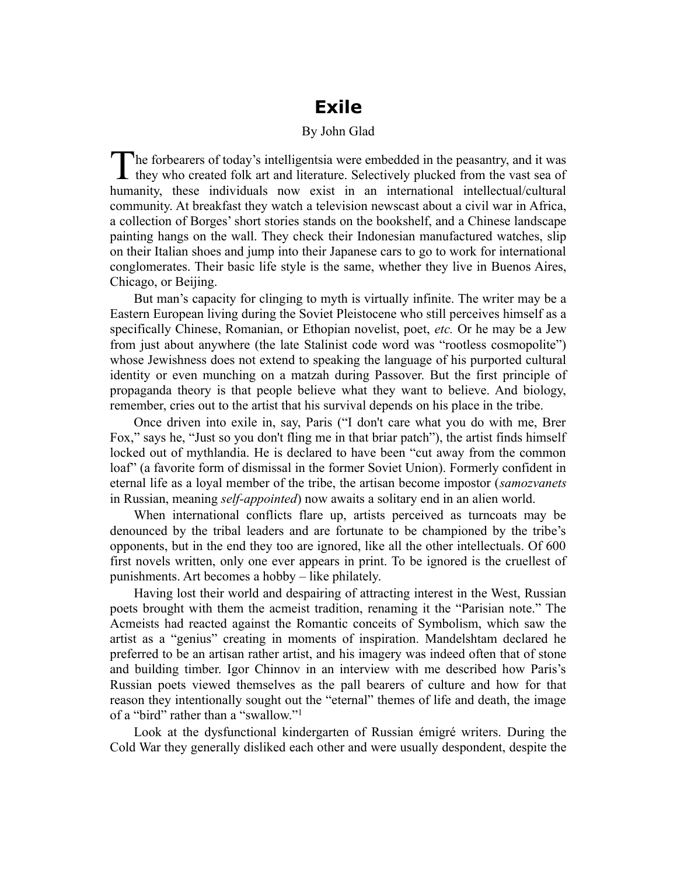# **Exile**

#### By John Glad

he forbearers of today's intelligentsia were embedded in the peasantry, and it was The forbearers of today's intelligentsia were embedded in the peasantry, and it was they who created folk art and literature. Selectively plucked from the vast sea of humanity, these individuals now exist in an international intellectual/cultural community. At breakfast they watch a television newscast about a civil war in Africa, a collection of Borges' short stories stands on the bookshelf, and a Chinese landscape painting hangs on the wall. They check their Indonesian manufactured watches, slip on their Italian shoes and jump into their Japanese cars to go to work for international conglomerates. Their basic life style is the same, whether they live in Buenos Aires, Chicago, or Beijing.

But man's capacity for clinging to myth is virtually infinite. The writer may be a Eastern European living during the Soviet Pleistocene who still perceives himself as a specifically Chinese, Romanian, or Ethopian novelist, poet, *etc.* Or he may be a Jew from just about anywhere (the late Stalinist code word was "rootless cosmopolite") whose Jewishness does not extend to speaking the language of his purported cultural identity or even munching on a matzah during Passover. But the first principle of propaganda theory is that people believe what they want to believe. And biology, remember, cries out to the artist that his survival depends on his place in the tribe.

Once driven into exile in, say, Paris ("I don't care what you do with me, Brer Fox," says he, "Just so you don't fling me in that briar patch"), the artist finds himself locked out of mythlandia. He is declared to have been "cut away from the common loaf" (a favorite form of dismissal in the former Soviet Union). Formerly confident in eternal life as a loyal member of the tribe, the artisan become impostor (*samozvanets* in Russian, meaning *self-appointed*) now awaits a solitary end in an alien world.

When international conflicts flare up, artists perceived as turncoats may be denounced by the tribal leaders and are fortunate to be championed by the tribe's opponents, but in the end they too are ignored, like all the other intellectuals. Of 600 first novels written, only one ever appears in print. To be ignored is the cruellest of punishments. Art becomes a hobby – like philately.

Having lost their world and despairing of attracting interest in the West, Russian poets brought with them the acmeist tradition, renaming it the "Parisian note." The Acmeists had reacted against the Romantic conceits of Symbolism, which saw the artist as a "genius" creating in moments of inspiration. Mandelshtam declared he preferred to be an artisan rather artist, and his imagery was indeed often that of stone and building timber. Igor Chinnov in an interview with me described how Paris's Russian poets viewed themselves as the pall bearers of culture and how for that reason they intentionally sought out the "eternal" themes of life and death, the image of a "bird" rather than a "swallow."<sup>1</sup>

Look at the dysfunctional kindergarten of Russian émigré writers. During the Cold War they generally disliked each other and were usually despondent, despite the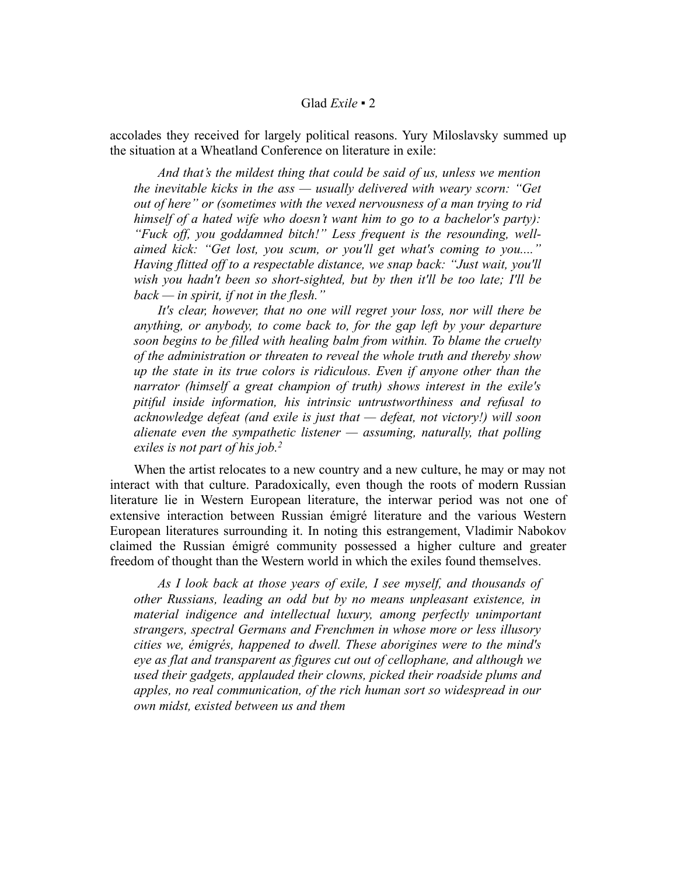#### Glad *Exile ▪* 2

accolades they received for largely political reasons. Yury Miloslavsky summed up the situation at a Wheatland Conference on literature in exile:

*And that's the mildest thing that could be said of us, unless we mention the inevitable kicks in the ass — usually delivered with weary scorn: "Get out of here" or (sometimes with the vexed nervousness of a man trying to rid himself of a hated wife who doesn't want him to go to a bachelor's party): "Fuck off, you goddamned bitch!" Less frequent is the resounding, wellaimed kick: "Get lost, you scum, or you'll get what's coming to you...." Having flitted off to a respectable distance, we snap back: "Just wait, you'll wish you hadn't been so short-sighted, but by then it'll be too late; I'll be back — in spirit, if not in the flesh."*

*It's clear, however, that no one will regret your loss, nor will there be anything, or anybody, to come back to, for the gap left by your departure soon begins to be filled with healing balm from within. To blame the cruelty of the administration or threaten to reveal the whole truth and thereby show up the state in its true colors is ridiculous. Even if anyone other than the narrator (himself a great champion of truth) shows interest in the exile's pitiful inside information, his intrinsic untrustworthiness and refusal to acknowledge defeat (and exile is just that — defeat, not victory!) will soon alienate even the sympathetic listener — assuming, naturally, that polling exiles is not part of his job.<sup>2</sup>*

When the artist relocates to a new country and a new culture, he may or may not interact with that culture. Paradoxically, even though the roots of modern Russian literature lie in Western European literature, the interwar period was not one of extensive interaction between Russian émigré literature and the various Western European literatures surrounding it. In noting this estrangement, Vladimir Nabokov claimed the Russian émigré community possessed a higher culture and greater freedom of thought than the Western world in which the exiles found themselves.

*As I look back at those years of exile, I see myself, and thousands of other Russians, leading an odd but by no means unpleasant existence, in material indigence and intellectual luxury, among perfectly unimportant strangers, spectral Germans and Frenchmen in whose more or less illusory cities we, émigrés, happened to dwell. These aborigines were to the mind's eye as flat and transparent as figures cut out of cellophane, and although we used their gadgets, applauded their clowns, picked their roadside plums and apples, no real communication, of the rich human sort so widespread in our own midst, existed between us and them*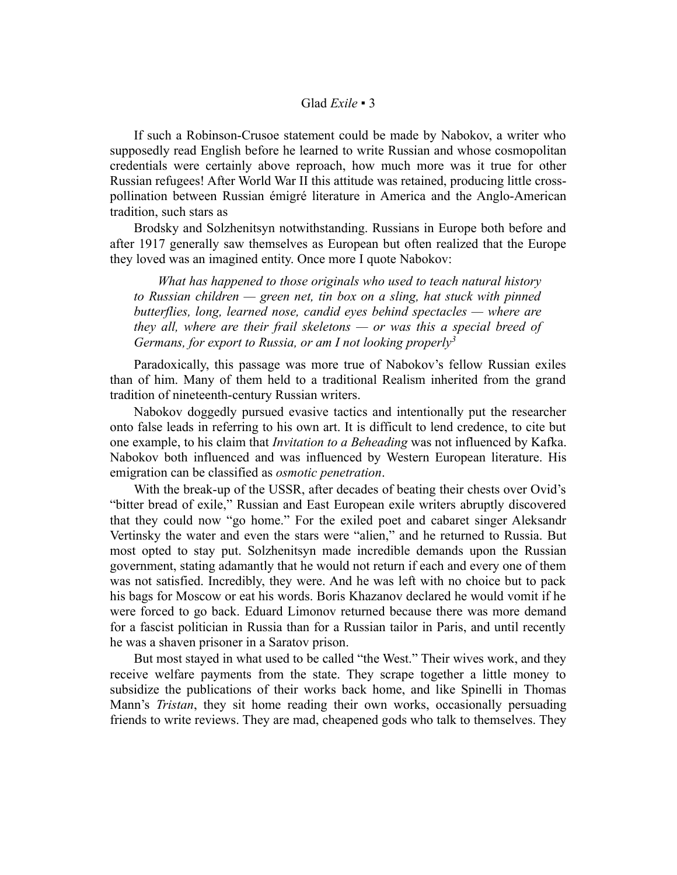### Glad *Exile ▪* 3

If such a Robinson-Crusoe statement could be made by Nabokov, a writer who supposedly read English before he learned to write Russian and whose cosmopolitan credentials were certainly above reproach, how much more was it true for other Russian refugees! After World War II this attitude was retained, producing little crosspollination between Russian émigré literature in America and the Anglo-American tradition, such stars as

Brodsky and Solzhenitsyn notwithstanding. Russians in Europe both before and after 1917 generally saw themselves as European but often realized that the Europe they loved was an imagined entity. Once more I quote Nabokov:

*What has happened to those originals who used to teach natural history to Russian children — green net, tin box on a sling, hat stuck with pinned butterflies, long, learned nose, candid eyes behind spectacles — where are they all, where are their frail skeletons — or was this a special breed of Germans, for export to Russia, or am I not looking properly<sup>3</sup>*

Paradoxically, this passage was more true of Nabokov's fellow Russian exiles than of him. Many of them held to a traditional Realism inherited from the grand tradition of nineteenth-century Russian writers.

Nabokov doggedly pursued evasive tactics and intentionally put the researcher onto false leads in referring to his own art. It is difficult to lend credence, to cite but one example, to his claim that *Invitation to a Beheading* was not influenced by Kafka. Nabokov both influenced and was influenced by Western European literature. His emigration can be classified as *osmotic penetration*.

With the break-up of the USSR, after decades of beating their chests over Ovid's "bitter bread of exile," Russian and East European exile writers abruptly discovered that they could now "go home." For the exiled poet and cabaret singer Aleksandr Vertinsky the water and even the stars were "alien," and he returned to Russia. But most opted to stay put. Solzhenitsyn made incredible demands upon the Russian government, stating adamantly that he would not return if each and every one of them was not satisfied. Incredibly, they were. And he was left with no choice but to pack his bags for Moscow or eat his words. Boris Khazanov declared he would vomit if he were forced to go back. Eduard Limonov returned because there was more demand for a fascist politician in Russia than for a Russian tailor in Paris, and until recently he was a shaven prisoner in a Saratov prison.

But most stayed in what used to be called "the West." Their wives work, and they receive welfare payments from the state. They scrape together a little money to subsidize the publications of their works back home, and like Spinelli in Thomas Mann's *Tristan*, they sit home reading their own works, occasionally persuading friends to write reviews. They are mad, cheapened gods who talk to themselves. They